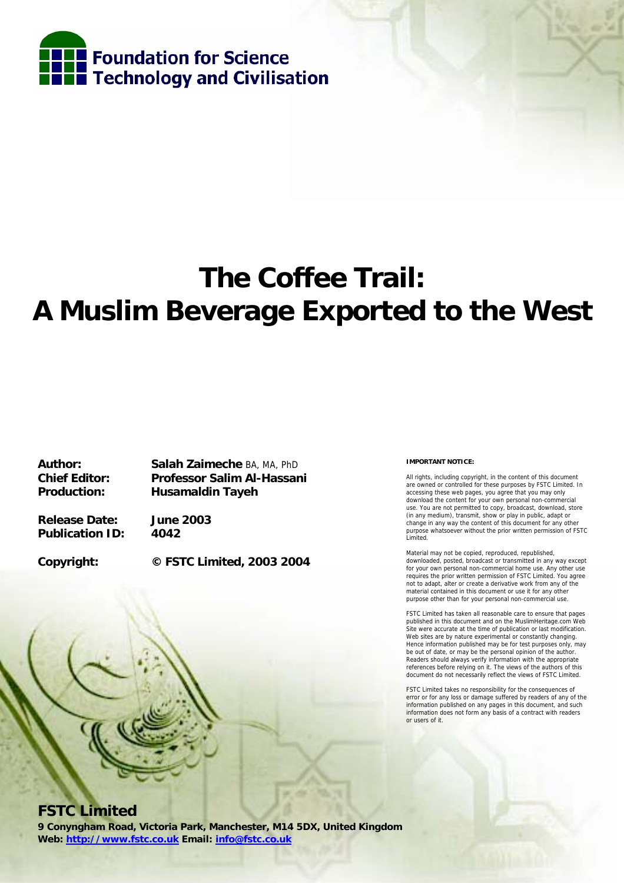

# **The Coffee Trail: A Muslim Beverage Exported to the West**

**Author: Salah Zaimeche** BA, MA, PhD **Chief Editor: Professor Salim Al-Hassani Production: Husamaldin Tayeh** 

**Release Date: June 2003 Publication ID: 4042** 

**Copyright: © FSTC Limited, 2003 2004** 

#### **IMPORTANT NOTICE:**

All rights, including copyright, in the content of this document are owned or controlled for these purposes by FSTC Limited. In accessing these web pages, you agree that you may only download the content for your own personal non-commercial use. You are not permitted to copy, broadcast, download, store (in any medium), transmit, show or play in public, adapt or change in any way the content of this document for any other purpose whatsoever without the prior written permission of FSTC Limited.

Material may not be copied, reproduced, republished, downloaded, posted, broadcast or transmitted in any way except for your own personal non-commercial home use. Any other use requires the prior written permission of FSTC Limited. You agree not to adapt, alter or create a derivative work from any of the material contained in this document or use it for any other purpose other than for your personal non-commercial use.

FSTC Limited has taken all reasonable care to ensure that pages published in this document and on the MuslimHeritage.com Web Site were accurate at the time of publication or last modification. Web sites are by nature experimental or constantly changing. Hence information published may be for test purposes only, may be out of date, or may be the personal opinion of the author. Readers should always verify information with the appropriate references before relying on it. The views of the authors of this document do not necessarily reflect the views of FSTC Limited.

FSTC Limited takes no responsibility for the consequences of error or for any loss or damage suffered by readers of any of the information published on any pages in this document, and such information does not form any basis of a contract with readers or users of it.

# **FSTC Limited**

**9 Conyngham Road, Victoria Park, Manchester, M14 5DX, United Kingdom Web: http://www.fstc.co.uk Email: info@fstc.co.uk**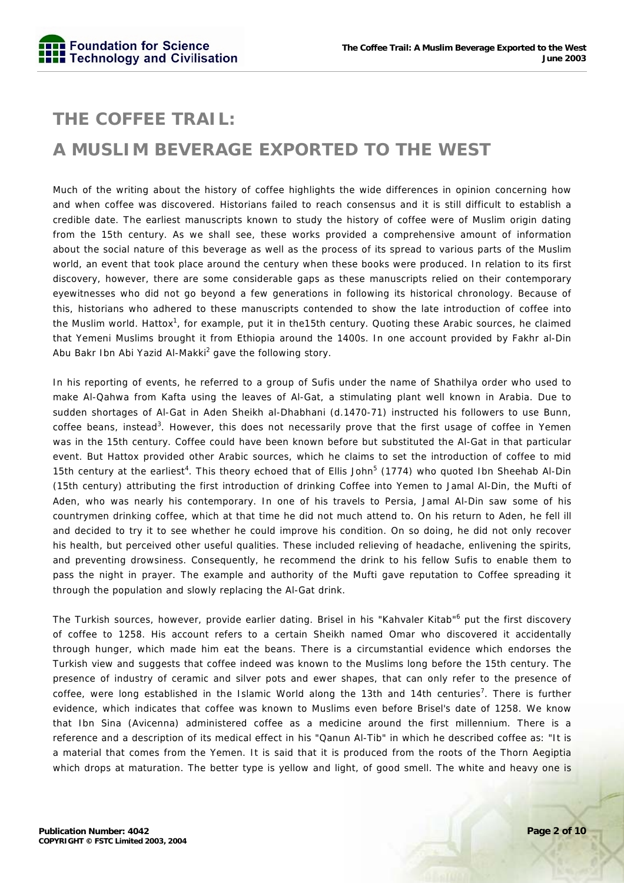# **THE COFFEE TRAIL: A MUSLIM BEVERAGE EXPORTED TO THE WEST**

Much of the writing about the history of coffee highlights the wide differences in opinion concerning how and when coffee was discovered. Historians failed to reach consensus and it is still difficult to establish a credible date. The earliest manuscripts known to study the history of coffee were of Muslim origin dating from the 15th century. As we shall see, these works provided a comprehensive amount of information about the social nature of this beverage as well as the process of its spread to various parts of the Muslim world, an event that took place around the century when these books were produced. In relation to its first discovery, however, there are some considerable gaps as these manuscripts relied on their contemporary eyewitnesses who did not go beyond a few generations in following its historical chronology. Because of this, historians who adhered to these manuscripts contended to show the late introduction of coffee into the Muslim world. Hattox<sup>1</sup>, for example, put it in the15th century. Quoting these Arabic sources, he claimed that Yemeni Muslims brought it from Ethiopia around the 1400s. In one account provided by Fakhr al-Din Abu Bakr Ibn Abi Yazid Al-Makki<sup>2</sup> gave the following story.

In his reporting of events, he referred to a group of Sufis under the name of Shathilya order who used to make Al-Qahwa from Kafta using the leaves of Al-Gat, a stimulating plant well known in Arabia. Due to sudden shortages of Al-Gat in Aden Sheikh al-Dhabhani (d.1470-71) instructed his followers to use Bunn, coffee beans, instead<sup>3</sup>. However, this does not necessarily prove that the first usage of coffee in Yemen was in the 15th century. Coffee could have been known before but substituted the Al-Gat in that particular event. But Hattox provided other Arabic sources, which he claims to set the introduction of coffee to mid 15th century at the earliest<sup>4</sup>. This theory echoed that of Ellis John<sup>5</sup> (1774) who quoted Ibn Sheehab Al-Din (15th century) attributing the first introduction of drinking Coffee into Yemen to Jamal Al-Din, the Mufti of Aden, who was nearly his contemporary. In one of his travels to Persia, Jamal Al-Din saw some of his countrymen drinking coffee, which at that time he did not much attend to. On his return to Aden, he fell ill and decided to try it to see whether he could improve his condition. On so doing, he did not only recover his health, but perceived other useful qualities. These included relieving of headache, enlivening the spirits, and preventing drowsiness. Consequently, he recommend the drink to his fellow Sufis to enable them to pass the night in prayer. The example and authority of the Mufti gave reputation to Coffee spreading it through the population and slowly replacing the Al-Gat drink.

The Turkish sources, however, provide earlier dating. Brisel in his "Kahvaler Kitab"<sup>6</sup> put the first discovery of coffee to 1258. His account refers to a certain Sheikh named Omar who discovered it accidentally through hunger, which made him eat the beans. There is a circumstantial evidence which endorses the Turkish view and suggests that coffee indeed was known to the Muslims long before the 15th century. The presence of industry of ceramic and silver pots and ewer shapes, that can only refer to the presence of coffee, were long established in the Islamic World along the 13th and 14th centuries<sup>7</sup>. There is further evidence, which indicates that coffee was known to Muslims even before Brisel's date of 1258. We know that Ibn Sina (Avicenna) administered coffee as a medicine around the first millennium. There is a reference and a description of its medical effect in his "Qanun Al-Tib" in which he described coffee as: "It is a material that comes from the Yemen. It is said that it is produced from the roots of the Thorn Aegiptia which drops at maturation. The better type is yellow and light, of good smell. The white and heavy one is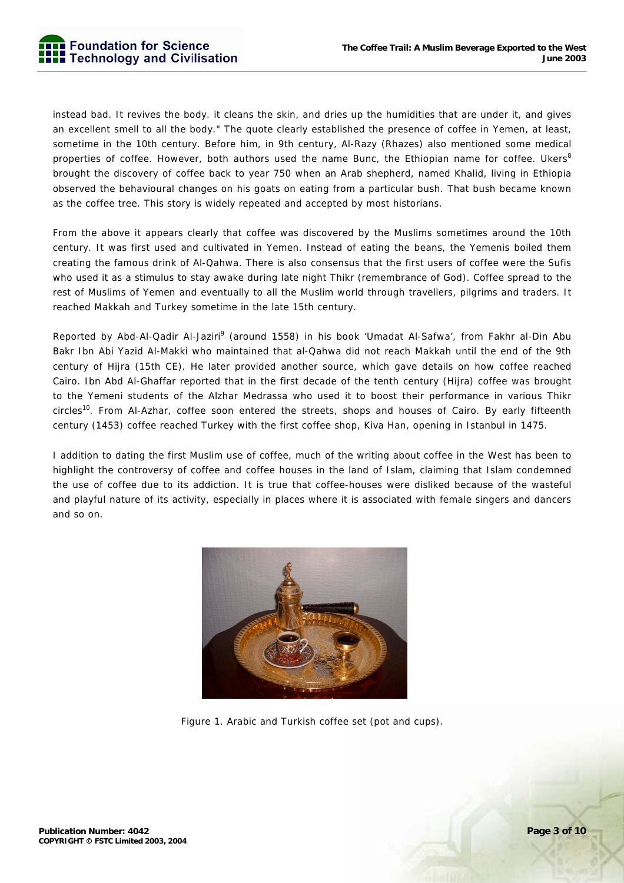instead bad. It revives the body. it cleans the skin, and dries up the humidities that are under it, and gives an excellent smell to all the body." The quote clearly established the presence of coffee in Yemen, at least, sometime in the 10th century. Before him, in 9th century, Al-Razy (Rhazes) also mentioned some medical properties of coffee. However, both authors used the name Bunc, the Ethiopian name for coffee. Ukers $^8$ brought the discovery of coffee back to year 750 when an Arab shepherd, named Khalid, living in Ethiopia observed the behavioural changes on his goats on eating from a particular bush. That bush became known as the coffee tree. This story is widely repeated and accepted by most historians.

From the above it appears clearly that coffee was discovered by the Muslims sometimes around the 10th century. It was first used and cultivated in Yemen. Instead of eating the beans, the Yemenis boiled them creating the famous drink of Al-Qahwa. There is also consensus that the first users of coffee were the Sufis who used it as a stimulus to stay awake during late night Thikr (remembrance of God). Coffee spread to the rest of Muslims of Yemen and eventually to all the Muslim world through travellers, pilgrims and traders. It reached Makkah and Turkey sometime in the late 15th century.

Reported by Abd-Al-Qadir Al-Jaziri<sup>9</sup> (around 1558) in his book 'Umadat Al-Safwa', from Fakhr al-Din Abu Bakr Ibn Abi Yazid Al-Makki who maintained that al-Qahwa did not reach Makkah until the end of the 9th century of Hijra (15th CE). He later provided another source, which gave details on how coffee reached Cairo. Ibn Abd Al-Ghaffar reported that in the first decade of the tenth century (Hijra) coffee was brought to the Yemeni students of the Alzhar Medrassa who used it to boost their performance in various Thikr circles<sup>10</sup>. From Al-Azhar, coffee soon entered the streets, shops and houses of Cairo. By early fifteenth century (1453) coffee reached Turkey with the first coffee shop, Kiva Han, opening in Istanbul in 1475.

I addition to dating the first Muslim use of coffee, much of the writing about coffee in the West has been to highlight the controversy of coffee and coffee houses in the land of Islam, claiming that Islam condemned the use of coffee due to its addiction. It is true that coffee-houses were disliked because of the wasteful and playful nature of its activity, especially in places where it is associated with female singers and dancers and so on.



Figure 1. Arabic and Turkish coffee set (pot and cups).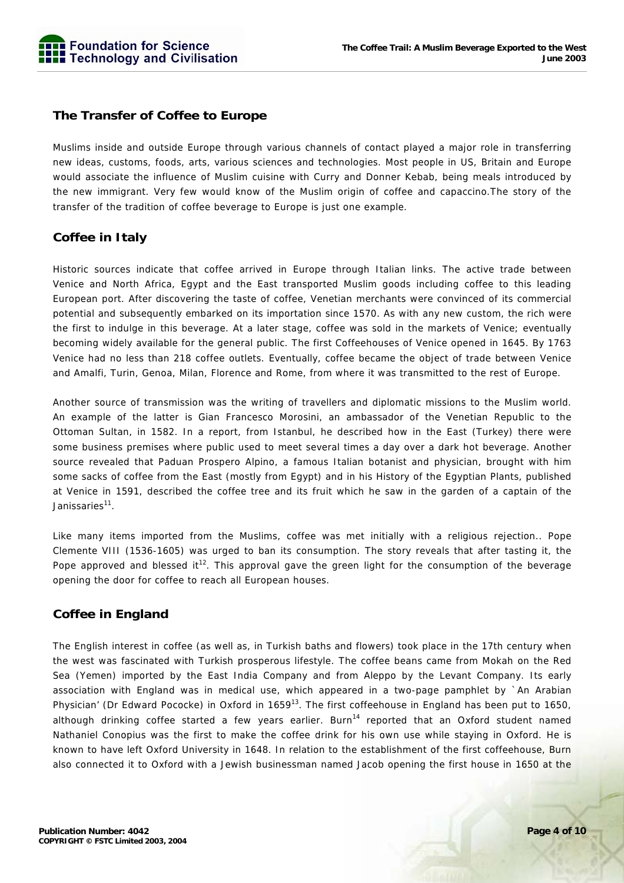

#### **The Transfer of Coffee to Europe**

Muslims inside and outside Europe through various channels of contact played a major role in transferring new ideas, customs, foods, arts, various sciences and technologies. Most people in US, Britain and Europe would associate the influence of Muslim cuisine with Curry and Donner Kebab, being meals introduced by the new immigrant. Very few would know of the Muslim origin of coffee and capaccino.The story of the transfer of the tradition of coffee beverage to Europe is just one example.

#### **Coffee in Italy**

Historic sources indicate that coffee arrived in Europe through Italian links. The active trade between Venice and North Africa, Egypt and the East transported Muslim goods including coffee to this leading European port. After discovering the taste of coffee, Venetian merchants were convinced of its commercial potential and subsequently embarked on its importation since 1570. As with any new custom, the rich were the first to indulge in this beverage. At a later stage, coffee was sold in the markets of Venice; eventually becoming widely available for the general public. The first Coffeehouses of Venice opened in 1645. By 1763 Venice had no less than 218 coffee outlets. Eventually, coffee became the object of trade between Venice and Amalfi, Turin, Genoa, Milan, Florence and Rome, from where it was transmitted to the rest of Europe.

Another source of transmission was the writing of travellers and diplomatic missions to the Muslim world. An example of the latter is Gian Francesco Morosini, an ambassador of the Venetian Republic to the Ottoman Sultan, in 1582. In a report, from Istanbul, he described how in the East (Turkey) there were some business premises where public used to meet several times a day over a dark hot beverage. Another source revealed that Paduan Prospero Alpino, a famous Italian botanist and physician, brought with him some sacks of coffee from the East (mostly from Egypt) and in his History of the Egyptian Plants, published at Venice in 1591, described the coffee tree and its fruit which he saw in the garden of a captain of the Janissaries<sup>11</sup>.

Like many items imported from the Muslims, coffee was met initially with a religious rejection.. Pope Clemente VIII (1536-1605) was urged to ban its consumption. The story reveals that after tasting it, the Pope approved and blessed it<sup>12</sup>. This approval gave the green light for the consumption of the beverage opening the door for coffee to reach all European houses.

#### **Coffee in England**

The English interest in coffee (as well as, in Turkish baths and flowers) took place in the 17th century when the west was fascinated with Turkish prosperous lifestyle. The coffee beans came from Mokah on the Red Sea (Yemen) imported by the East India Company and from Aleppo by the Levant Company. Its early association with England was in medical use, which appeared in a two-page pamphlet by `An Arabian Physician' (Dr Edward Pococke) in Oxford in 1659<sup>13</sup>. The first coffeehouse in England has been put to 1650, although drinking coffee started a few years earlier. Burn<sup>14</sup> reported that an Oxford student named Nathaniel Conopius was the first to make the coffee drink for his own use while staying in Oxford. He is known to have left Oxford University in 1648. In relation to the establishment of the first coffeehouse, Burn also connected it to Oxford with a Jewish businessman named Jacob opening the first house in 1650 at the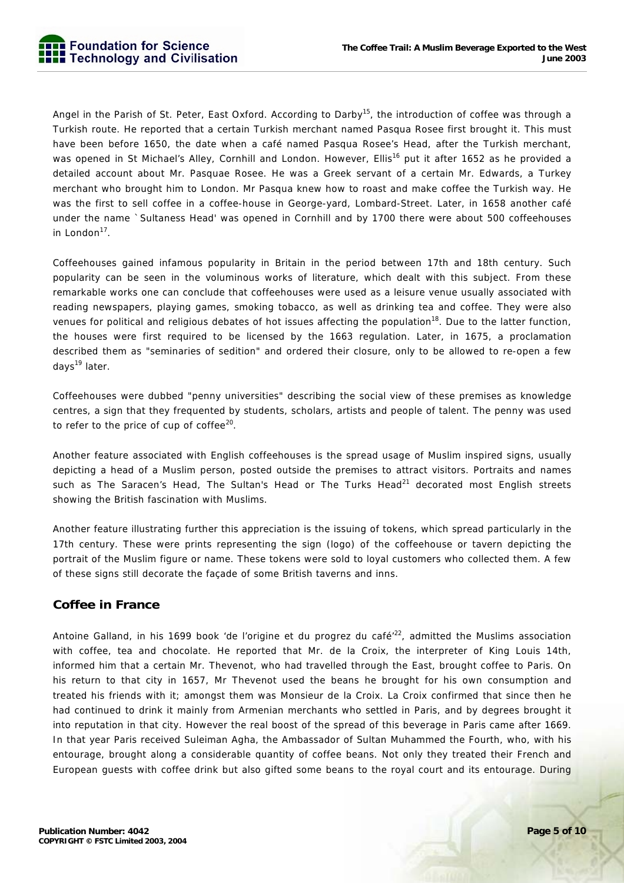Angel in the Parish of St. Peter, East Oxford. According to Darby<sup>15</sup>, the introduction of coffee was through a Turkish route. He reported that a certain Turkish merchant named Pasqua Rosee first brought it. This must have been before 1650, the date when a café named Pasqua Rosee's Head, after the Turkish merchant, was opened in St Michael's Alley, Cornhill and London. However, Ellis<sup>16</sup> put it after 1652 as he provided a detailed account about Mr. Pasquae Rosee. He was a Greek servant of a certain Mr. Edwards, a Turkey merchant who brought him to London. Mr Pasqua knew how to roast and make coffee the Turkish way. He was the first to sell coffee in a coffee-house in George-yard, Lombard-Street. Later, in 1658 another café under the name `Sultaness Head' was opened in Cornhill and by 1700 there were about 500 coffeehouses in London $17$ .

Coffeehouses gained infamous popularity in Britain in the period between 17th and 18th century. Such popularity can be seen in the voluminous works of literature, which dealt with this subject. From these remarkable works one can conclude that coffeehouses were used as a leisure venue usually associated with reading newspapers, playing games, smoking tobacco, as well as drinking tea and coffee. They were also venues for political and religious debates of hot issues affecting the population<sup>18</sup>. Due to the latter function, the houses were first required to be licensed by the 1663 regulation. Later, in 1675, a proclamation described them as "seminaries of sedition" and ordered their closure, only to be allowed to re-open a few days<sup>19</sup> later.

Coffeehouses were dubbed "penny universities" describing the social view of these premises as knowledge centres, a sign that they frequented by students, scholars, artists and people of talent. The penny was used to refer to the price of cup of coffee $20$ .

Another feature associated with English coffeehouses is the spread usage of Muslim inspired signs, usually depicting a head of a Muslim person, posted outside the premises to attract visitors. Portraits and names such as The Saracen's Head, The Sultan's Head or The Turks Head $^{21}$  decorated most English streets showing the British fascination with Muslims.

Another feature illustrating further this appreciation is the issuing of tokens, which spread particularly in the 17th century. These were prints representing the sign (logo) of the coffeehouse or tavern depicting the portrait of the Muslim figure or name. These tokens were sold to loyal customers who collected them. A few of these signs still decorate the façade of some British taverns and inns.

# **Coffee in France**

Antoine Galland, in his 1699 book 'de l'origine et du progrez du café<sup>'22</sup>, admitted the Muslims association with coffee, tea and chocolate. He reported that Mr. de la Croix, the interpreter of King Louis 14th, informed him that a certain Mr. Thevenot, who had travelled through the East, brought coffee to Paris. On his return to that city in 1657, Mr Thevenot used the beans he brought for his own consumption and treated his friends with it; amongst them was Monsieur de la Croix. La Croix confirmed that since then he had continued to drink it mainly from Armenian merchants who settled in Paris, and by degrees brought it into reputation in that city. However the real boost of the spread of this beverage in Paris came after 1669. In that year Paris received Suleiman Agha, the Ambassador of Sultan Muhammed the Fourth, who, with his entourage, brought along a considerable quantity of coffee beans. Not only they treated their French and European guests with coffee drink but also gifted some beans to the royal court and its entourage. During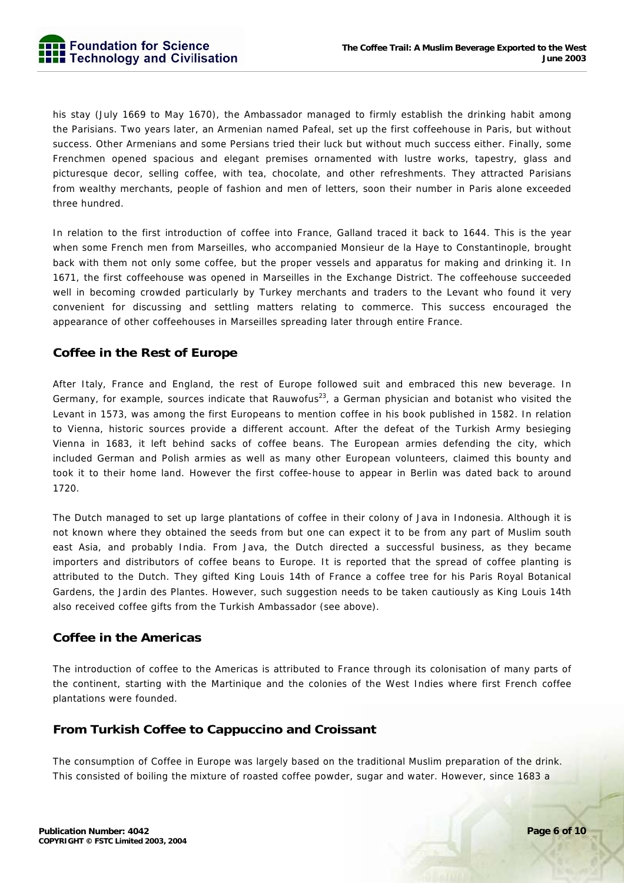his stay (July 1669 to May 1670), the Ambassador managed to firmly establish the drinking habit among the Parisians. Two years later, an Armenian named Pafeal, set up the first coffeehouse in Paris, but without success. Other Armenians and some Persians tried their luck but without much success either. Finally, some Frenchmen opened spacious and elegant premises ornamented with lustre works, tapestry, glass and picturesque decor, selling coffee, with tea, chocolate, and other refreshments. They attracted Parisians from wealthy merchants, people of fashion and men of letters, soon their number in Paris alone exceeded three hundred.

In relation to the first introduction of coffee into France, Galland traced it back to 1644. This is the year when some French men from Marseilles, who accompanied Monsieur de la Haye to Constantinople, brought back with them not only some coffee, but the proper vessels and apparatus for making and drinking it. In 1671, the first coffeehouse was opened in Marseilles in the Exchange District. The coffeehouse succeeded well in becoming crowded particularly by Turkey merchants and traders to the Levant who found it very convenient for discussing and settling matters relating to commerce. This success encouraged the appearance of other coffeehouses in Marseilles spreading later through entire France.

# **Coffee in the Rest of Europe**

After Italy, France and England, the rest of Europe followed suit and embraced this new beverage. In Germany, for example, sources indicate that Rauwofus<sup>23</sup>, a German physician and botanist who visited the Levant in 1573, was among the first Europeans to mention coffee in his book published in 1582. In relation to Vienna, historic sources provide a different account. After the defeat of the Turkish Army besieging Vienna in 1683, it left behind sacks of coffee beans. The European armies defending the city, which included German and Polish armies as well as many other European volunteers, claimed this bounty and took it to their home land. However the first coffee-house to appear in Berlin was dated back to around 1720.

The Dutch managed to set up large plantations of coffee in their colony of Java in Indonesia. Although it is not known where they obtained the seeds from but one can expect it to be from any part of Muslim south east Asia, and probably India. From Java, the Dutch directed a successful business, as they became importers and distributors of coffee beans to Europe. It is reported that the spread of coffee planting is attributed to the Dutch. They gifted King Louis 14th of France a coffee tree for his Paris Royal Botanical Gardens, the Jardin des Plantes. However, such suggestion needs to be taken cautiously as King Louis 14th also received coffee gifts from the Turkish Ambassador (see above).

### **Coffee in the Americas**

The introduction of coffee to the Americas is attributed to France through its colonisation of many parts of the continent, starting with the Martinique and the colonies of the West Indies where first French coffee plantations were founded.

# **From Turkish Coffee to Cappuccino and Croissant**

The consumption of Coffee in Europe was largely based on the traditional Muslim preparation of the drink. This consisted of boiling the mixture of roasted coffee powder, sugar and water. However, since 1683 a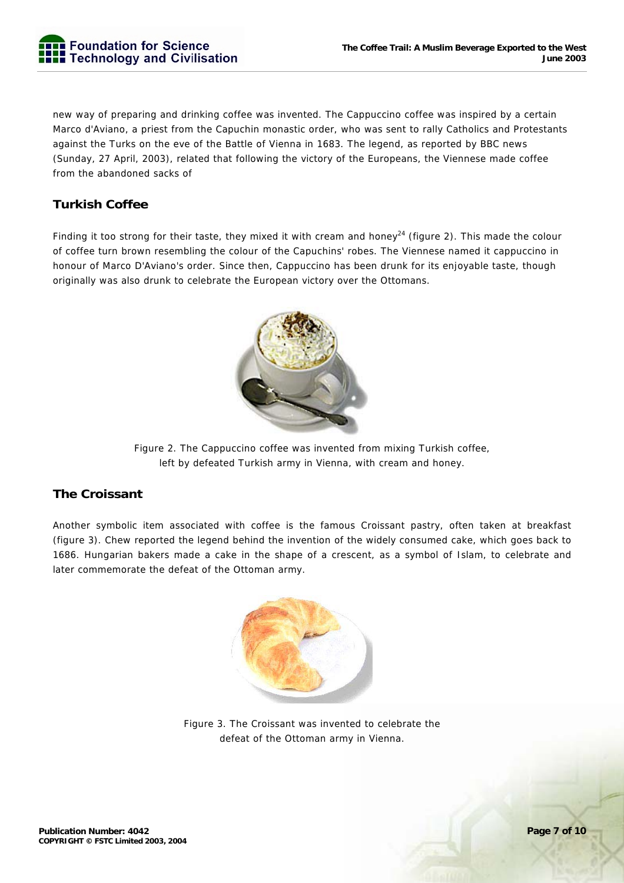new way of preparing and drinking coffee was invented. The Cappuccino coffee was inspired by a certain Marco d'Aviano, a priest from the Capuchin monastic order, who was sent to rally Catholics and Protestants against the Turks on the eve of the Battle of Vienna in 1683. The legend, as reported by BBC news (Sunday, 27 April, 2003), related that following the victory of the Europeans, the Viennese made coffee from the abandoned sacks of

# **Turkish Coffee**

Finding it too strong for their taste, they mixed it with cream and honey<sup>24</sup> (figure 2). This made the colour of coffee turn brown resembling the colour of the Capuchins' robes. The Viennese named it cappuccino in honour of Marco D'Aviano's order. Since then, Cappuccino has been drunk for its enjoyable taste, though originally was also drunk to celebrate the European victory over the Ottomans.



Figure 2. The Cappuccino coffee was invented from mixing Turkish coffee, left by defeated Turkish army in Vienna, with cream and honey.

# **The Croissant**

Another symbolic item associated with coffee is the famous Croissant pastry, often taken at breakfast (figure 3). Chew reported the legend behind the invention of the widely consumed cake, which goes back to 1686. Hungarian bakers made a cake in the shape of a crescent, as a symbol of Islam, to celebrate and later commemorate the defeat of the Ottoman army.



Figure 3. The Croissant was invented to celebrate the defeat of the Ottoman army in Vienna.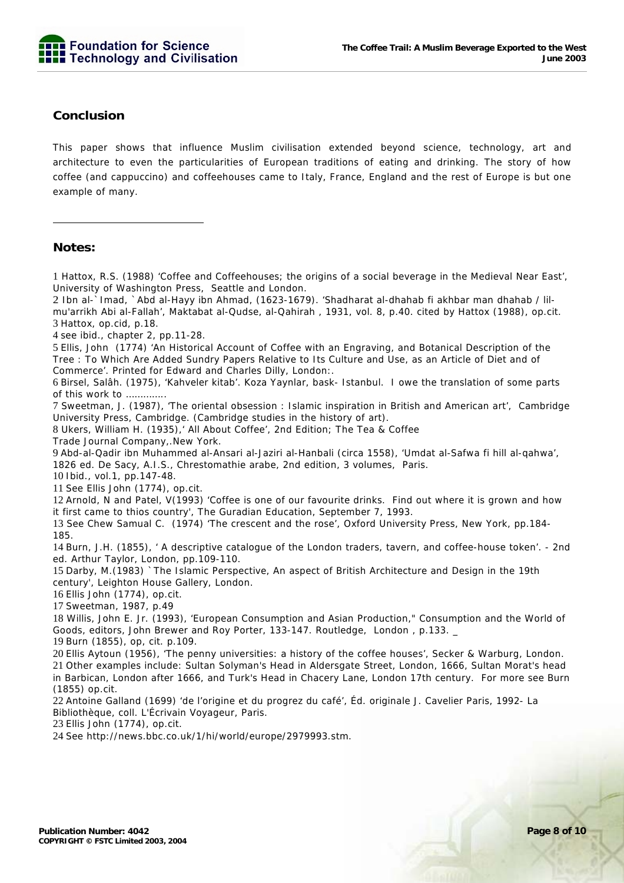

#### **Conclusion**

This paper shows that influence Muslim civilisation extended beyond science, technology, art and architecture to even the particularities of European traditions of eating and drinking. The story of how coffee (and cappuccino) and coffeehouses came to Italy, France, England and the rest of Europe is but one example of many.

#### **Notes:**

-

1 Hattox, R.S. (1988) 'Coffee and Coffeehouses; the origins of a social beverage in the Medieval Near East', University of Washington Press, Seattle and London.

2 Ibn al-`Imad, `Abd al-Hayy ibn Ahmad, (1623-1679). 'Shadharat al-dhahab fi akhbar man dhahab / lilmu'arrikh Abi al-Fallah', Maktabat al-Qudse, al-Qahirah , 1931, vol. 8, p.40. cited by Hattox (1988), op.cit. 3 Hattox, op.cid, p.18.

4 see ibid., chapter 2, pp.11-28.

5 Ellis, John (1774) 'An Historical Account of Coffee with an Engraving, and Botanical Description of the Tree : To Which Are Added Sundry Papers Relative to Its Culture and Use, as an Article of Diet and of Commerce'. Printed for Edward and Charles Dilly, London:.

6 Birsel, Salâh. (1975), 'Kahveler kitab'. Koza Yaynlar, bask- Istanbul. I owe the translation of some parts of this work to …………..

7 Sweetman, J. (1987), 'The oriental obsession : Islamic inspiration in British and American art', Cambridge University Press, Cambridge. (Cambridge studies in the history of art).

8 Ukers, William H. (1935),' All About Coffee', 2nd Edition; The Tea & Coffee

Trade Journal Company,.New York.

9 Abd-al-Qadir ibn Muhammed al-Ansari al-Jaziri al-Hanbali (circa 1558), 'Umdat al-Safwa fi hill al-qahwa', 1826 ed. De Sacy, A.I.S., Chrestomathie arabe, 2nd edition, 3 volumes, Paris.

10 Ibid., vol.1, pp.147-48.

11 See Ellis John (1774), op.cit.

12 Arnold, N and Patel, V(1993) 'Coffee is one of our favourite drinks. Find out where it is grown and how it first came to thios country', The Guradian Education, September 7, 1993.

13 See Chew Samual C. (1974) 'The crescent and the rose', Oxford University Press, New York, pp.184- 185.

14 Burn, J.H. (1855), ' A descriptive catalogue of the London traders, tavern, and coffee-house token'. - 2nd ed. Arthur Taylor, London, pp.109-110.

15 Darby, M.(1983) `The Islamic Perspective, An aspect of British Architecture and Design in the 19th century', Leighton House Gallery, London.

16 Ellis John (1774), op.cit.

17 Sweetman, 1987, p.49

18 Willis, John E. Jr. (1993), 'European Consumption and Asian Production," Consumption and the World of Goods, editors, John Brewer and Roy Porter, 133-147. Routledge, London , p.133. \_ 19 Burn (1855), op, cit. p.109.

20 Ellis Aytoun (1956), 'The penny universities: a history of the coffee houses', Secker & Warburg, London. 21 Other examples include: Sultan Solyman's Head in Aldersgate Street, London, 1666, Sultan Morat's head in Barbican, London after 1666, and Turk's Head in Chacery Lane, London 17th century. For more see Burn

(1855) op.cit.

22 Antoine Galland (1699) 'de l'origine et du progrez du café', Éd. originale J. Cavelier Paris, 1992- La Bibliothèque, coll. L'Écrivain Voyageur, Paris.

23 Ellis John (1774), op.cit.

24 See http://news.bbc.co.uk/1/hi/world/europe/2979993.stm.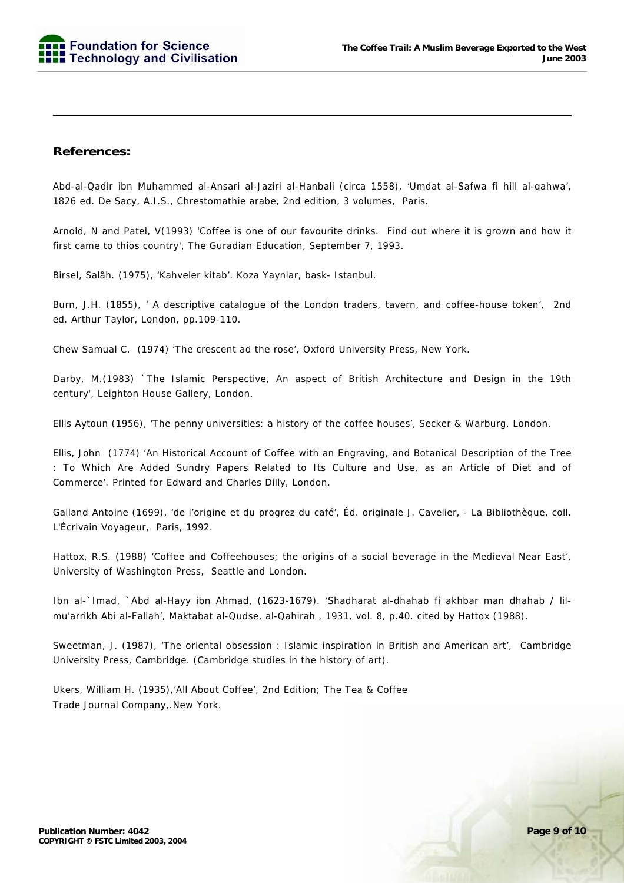

#### **References:**

-

Abd-al-Qadir ibn Muhammed al-Ansari al-Jaziri al-Hanbali (circa 1558), 'Umdat al-Safwa fi hill al-qahwa', 1826 ed. De Sacy, A.I.S., Chrestomathie arabe, 2nd edition, 3 volumes, Paris.

Arnold, N and Patel, V(1993) 'Coffee is one of our favourite drinks. Find out where it is grown and how it first came to thios country', The Guradian Education, September 7, 1993.

Birsel, Salâh. (1975), 'Kahveler kitab'. Koza Yaynlar, bask- Istanbul.

Burn, J.H. (1855), ' A descriptive catalogue of the London traders, tavern, and coffee-house token', 2nd ed. Arthur Taylor, London, pp.109-110.

Chew Samual C. (1974) 'The crescent ad the rose', Oxford University Press, New York.

Darby, M.(1983) `The Islamic Perspective, An aspect of British Architecture and Design in the 19th century', Leighton House Gallery, London.

Ellis Aytoun (1956), 'The penny universities: a history of the coffee houses', Secker & Warburg, London.

Ellis, John (1774) 'An Historical Account of Coffee with an Engraving, and Botanical Description of the Tree : To Which Are Added Sundry Papers Related to Its Culture and Use, as an Article of Diet and of Commerce'. Printed for Edward and Charles Dilly, London.

Galland Antoine (1699), 'de l'origine et du progrez du café', Éd. originale J. Cavelier, - La Bibliothèque, coll. L'Écrivain Voyageur, Paris, 1992.

Hattox, R.S. (1988) 'Coffee and Coffeehouses; the origins of a social beverage in the Medieval Near East', University of Washington Press, Seattle and London.

Ibn al-`Imad, `Abd al-Hayy ibn Ahmad, (1623-1679). 'Shadharat al-dhahab fi akhbar man dhahab / lilmu'arrikh Abi al-Fallah', Maktabat al-Qudse, al-Qahirah , 1931, vol. 8, p.40. cited by Hattox (1988).

Sweetman, J. (1987), 'The oriental obsession : Islamic inspiration in British and American art', Cambridge University Press, Cambridge. (Cambridge studies in the history of art).

Ukers, William H. (1935),'All About Coffee', 2nd Edition; The Tea & Coffee Trade Journal Company,.New York.